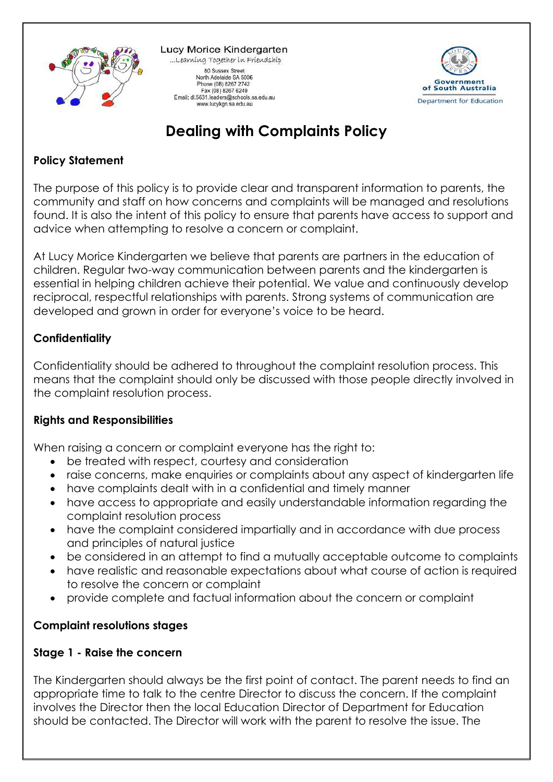

Lucy Morice Kindergarten ...Learning Together in Friendship 80 Sussex Street North Adelaide SA 5006 Phone (08) 8267 2742 Fax (08) 8267 6249<br>Email: dl.5631.leaders@schools.sa.edu.au www.lucykgn.sa.edu.au



# **Dealing with Complaints Policy**

### **Policy Statement**

The purpose of this policy is to provide clear and transparent information to parents, the community and staff on how concerns and complaints will be managed and resolutions found. It is also the intent of this policy to ensure that parents have access to support and advice when attempting to resolve a concern or complaint.

At Lucy Morice Kindergarten we believe that parents are partners in the education of children. Regular two-way communication between parents and the kindergarten is essential in helping children achieve their potential. We value and continuously develop reciprocal, respectful relationships with parents. Strong systems of communication are developed and grown in order for everyone's voice to be heard.

## **Confidentiality**

Confidentiality should be adhered to throughout the complaint resolution process. This means that the complaint should only be discussed with those people directly involved in the complaint resolution process.

#### **Rights and Responsibilities**

When raising a concern or complaint everyone has the right to:

- be treated with respect, courtesy and consideration
- raise concerns, make enquiries or complaints about any aspect of kindergarten life
- have complaints dealt with in a confidential and timely manner
- have access to appropriate and easily understandable information regarding the complaint resolution process
- have the complaint considered impartially and in accordance with due process and principles of natural justice
- be considered in an attempt to find a mutually acceptable outcome to complaints
- have realistic and reasonable expectations about what course of action is required to resolve the concern or complaint
- provide complete and factual information about the concern or complaint

#### **Complaint resolutions stages**

#### **Stage 1 - Raise the concern**

The Kindergarten should always be the first point of contact. The parent needs to find an appropriate time to talk to the centre Director to discuss the concern. If the complaint involves the Director then the local Education Director of Department for Education should be contacted. The Director will work with the parent to resolve the issue. The